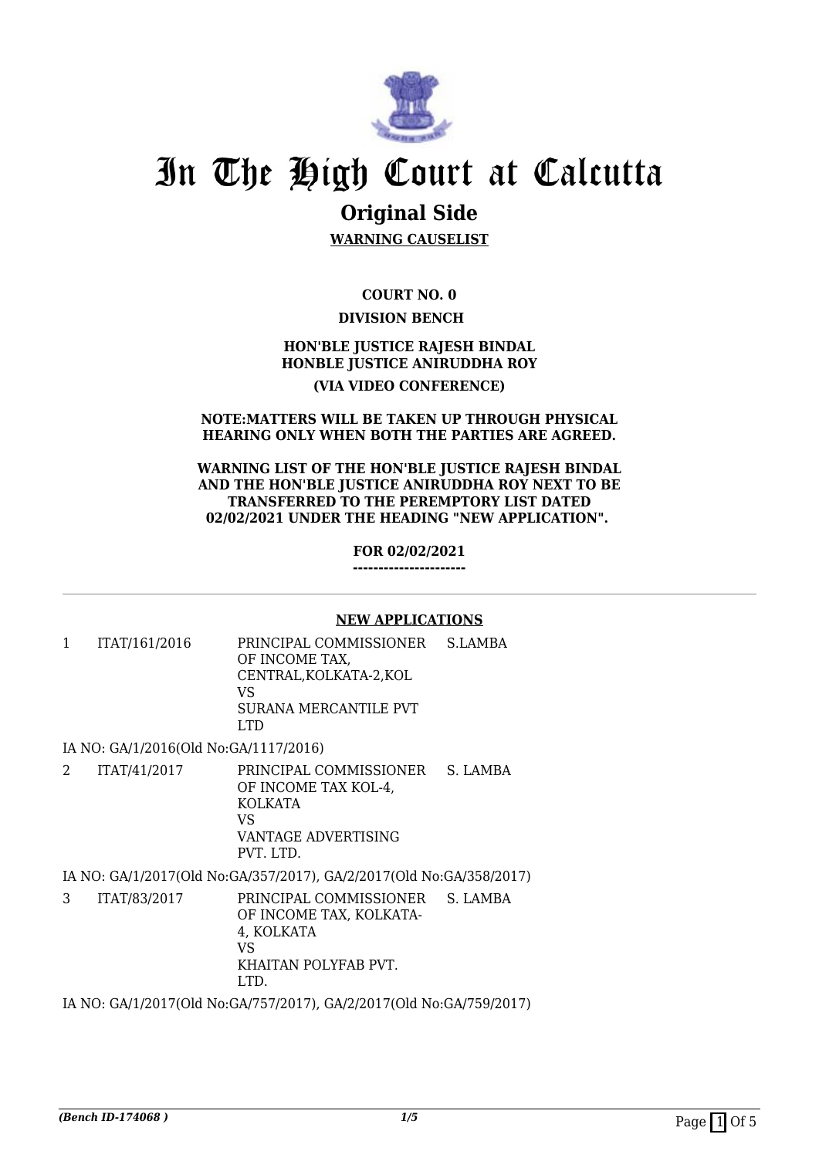

# In The High Court at Calcutta

# **Original Side**

**WARNING CAUSELIST**

**COURT NO. 0 DIVISION BENCH** 

## **HON'BLE JUSTICE RAJESH BINDAL HONBLE JUSTICE ANIRUDDHA ROY**

### **(VIA VIDEO CONFERENCE)**

#### **NOTE:MATTERS WILL BE TAKEN UP THROUGH PHYSICAL HEARING ONLY WHEN BOTH THE PARTIES ARE AGREED.**

#### **WARNING LIST OF THE HON'BLE JUSTICE RAJESH BINDAL AND THE HON'BLE JUSTICE ANIRUDDHA ROY NEXT TO BE TRANSFERRED TO THE PEREMPTORY LIST DATED 02/02/2021 UNDER THE HEADING "NEW APPLICATION".**

**FOR 02/02/2021**

**----------------------**

#### **NEW APPLICATIONS**

1 ITAT/161/2016 PRINCIPAL COMMISSIONER OF INCOME TAX, CENTRAL,KOLKATA-2,KOL VS SURANA MERCANTILE PVT LTD S.LAMBA

IA NO: GA/1/2016(Old No:GA/1117/2016)

2 ITAT/41/2017 PRINCIPAL COMMISSIONER OF INCOME TAX KOL-4, KOLKATA VS VANTAGE ADVERTISING PVT. LTD. S. LAMBA

IA NO: GA/1/2017(Old No:GA/357/2017), GA/2/2017(Old No:GA/358/2017)

3 ITAT/83/2017 PRINCIPAL COMMISSIONER OF INCOME TAX, KOLKATA-4, KOLKATA VS KHAITAN POLYFAB PVT. LTD. S. LAMBA

IA NO: GA/1/2017(Old No:GA/757/2017), GA/2/2017(Old No:GA/759/2017)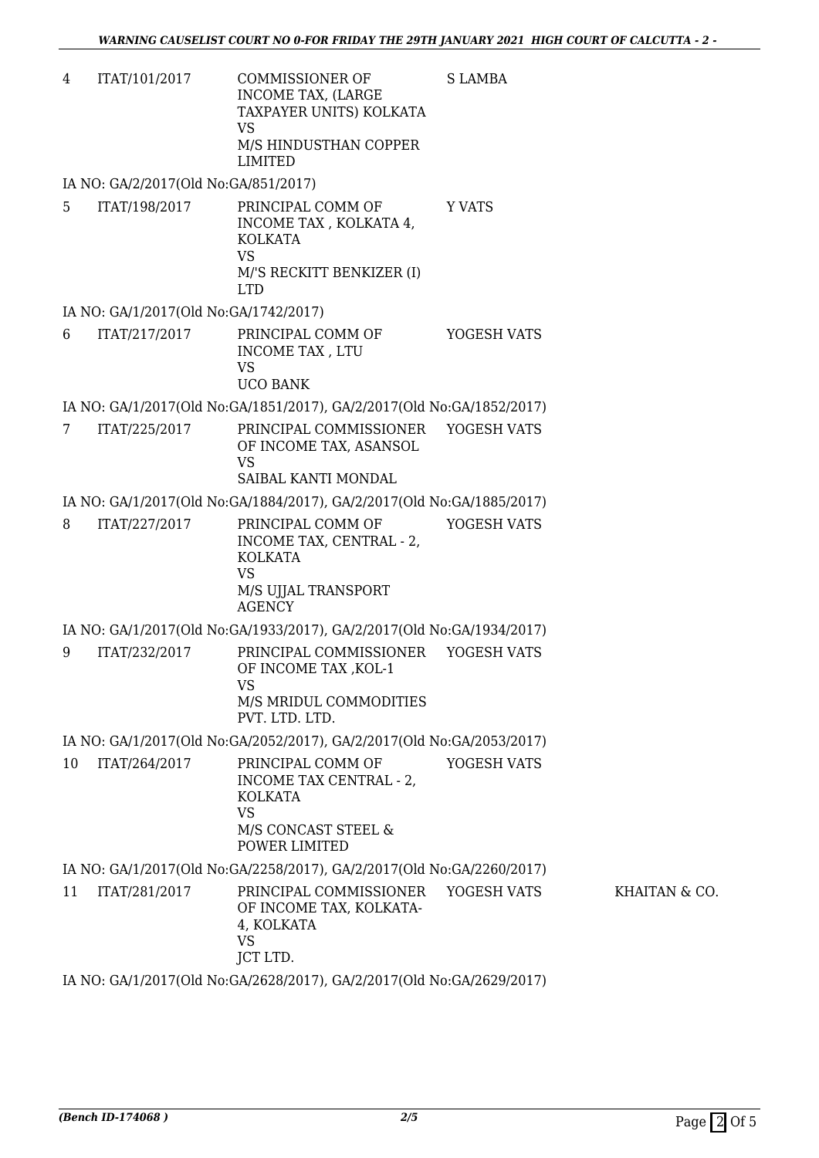4 ITAT/101/2017 COMMISSIONER OF INCOME TAX, (LARGE TAXPAYER UNITS) KOLKATA VS M/S HINDUSTHAN COPPER LIMITED S LAMBA

IA NO: GA/2/2017(Old No:GA/851/2017)

5 ITAT/198/2017 PRINCIPAL COMM OF INCOME TAX , KOLKATA 4, KOLKATA VS M/'S RECKITT BENKIZER (I) LTD Y VATS

#### IA NO: GA/1/2017(Old No:GA/1742/2017)

6 ITAT/217/2017 PRINCIPAL COMM OF INCOME TAX , LTU  $V<sup>Q</sup>$ UCO BANK YOGESH VATS

IA NO: GA/1/2017(Old No:GA/1851/2017), GA/2/2017(Old No:GA/1852/2017)

7 ITAT/225/2017 PRINCIPAL COMMISSIONER OF INCOME TAX, ASANSOL VS SAIBAL KANTI MONDAL YOGESH VATS

IA NO: GA/1/2017(Old No:GA/1884/2017), GA/2/2017(Old No:GA/1885/2017)

8 ITAT/227/2017 PRINCIPAL COMM OF INCOME TAX, CENTRAL - 2, KOLKATA VS M/S UJJAL TRANSPORT AGENCY YOGESH VATS

IA NO: GA/1/2017(Old No:GA/1933/2017), GA/2/2017(Old No:GA/1934/2017)

9 ITAT/232/2017 PRINCIPAL COMMISSIONER OF INCOME TAX ,KOL-1 VS M/S MRIDUL COMMODITIES PVT. LTD. LTD. YOGESH VATS

IA NO: GA/1/2017(Old No:GA/2052/2017), GA/2/2017(Old No:GA/2053/2017)

10 ITAT/264/2017 PRINCIPAL COMM OF INCOME TAX CENTRAL - 2, KOLKATA VS M/S CONCAST STEEL & POWER LIMITED YOGESH VATS

IA NO: GA/1/2017(Old No:GA/2258/2017), GA/2/2017(Old No:GA/2260/2017)

11 ITAT/281/2017 PRINCIPAL COMMISSIONER OF INCOME TAX, KOLKATA-4, KOLKATA VS JCT LTD. YOGESH VATS KHAITAN & CO.

IA NO: GA/1/2017(Old No:GA/2628/2017), GA/2/2017(Old No:GA/2629/2017)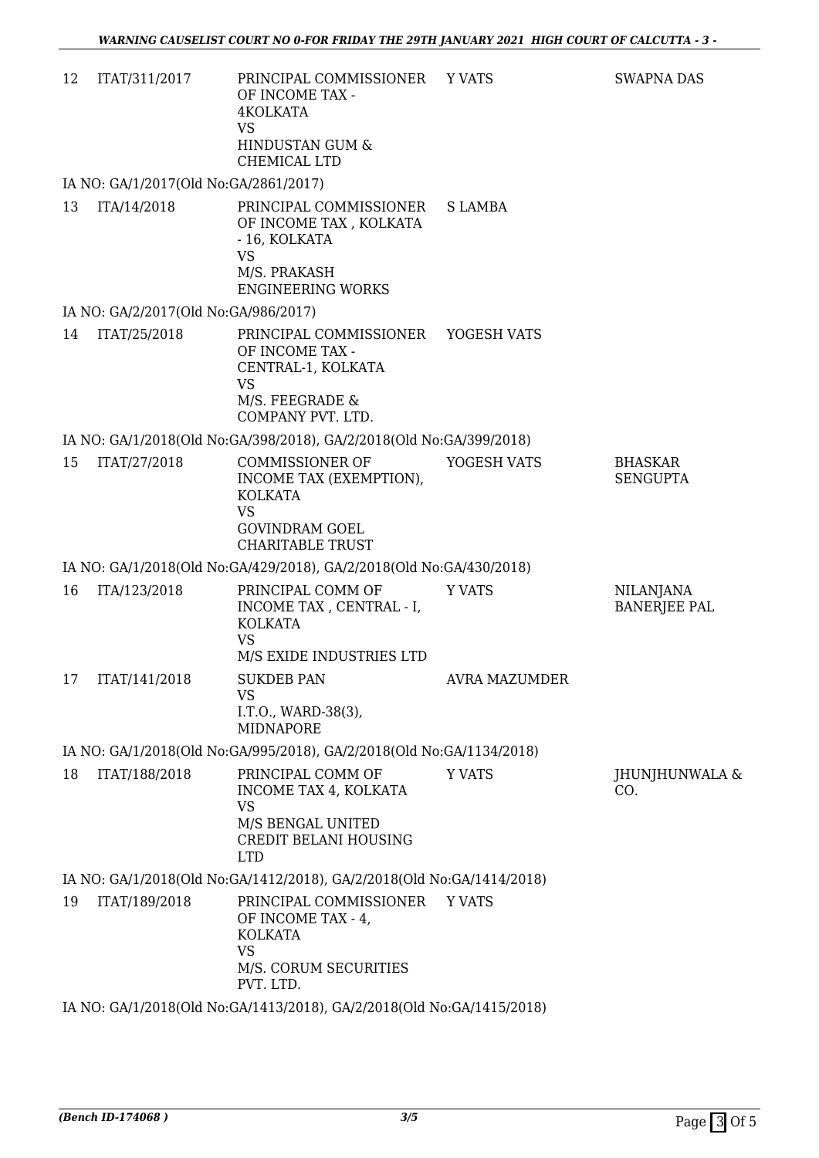| 12 | ITAT/311/2017                         | PRINCIPAL COMMISSIONER YVATS<br>OF INCOME TAX -<br>4KOLKATA<br><b>VS</b><br>HINDUSTAN GUM &<br>CHEMICAL LTD                          |               | <b>SWAPNA DAS</b>                       |
|----|---------------------------------------|--------------------------------------------------------------------------------------------------------------------------------------|---------------|-----------------------------------------|
|    | IA NO: GA/1/2017(Old No:GA/2861/2017) |                                                                                                                                      |               |                                         |
| 13 | ITA/14/2018                           | PRINCIPAL COMMISSIONER<br>OF INCOME TAX, KOLKATA<br>- 16, KOLKATA<br><b>VS</b><br>M/S. PRAKASH<br><b>ENGINEERING WORKS</b>           | S LAMBA       |                                         |
|    | IA NO: GA/2/2017(Old No:GA/986/2017)  |                                                                                                                                      |               |                                         |
| 14 | ITAT/25/2018                          | PRINCIPAL COMMISSIONER YOGESH VATS<br>OF INCOME TAX -<br>CENTRAL-1, KOLKATA<br><b>VS</b><br>M/S. FEEGRADE &<br>COMPANY PVT. LTD.     |               |                                         |
|    |                                       | IA NO: GA/1/2018(Old No:GA/398/2018), GA/2/2018(Old No:GA/399/2018)                                                                  |               |                                         |
| 15 | ITAT/27/2018                          | <b>COMMISSIONER OF</b><br>INCOME TAX (EXEMPTION),<br><b>KOLKATA</b><br><b>VS</b><br><b>GOVINDRAM GOEL</b><br><b>CHARITABLE TRUST</b> | YOGESH VATS   | <b>BHASKAR</b><br><b>SENGUPTA</b>       |
|    |                                       | IA NO: GA/1/2018(Old No: GA/429/2018), GA/2/2018(Old No: GA/430/2018)                                                                |               |                                         |
| 16 | ITA/123/2018                          | PRINCIPAL COMM OF<br>INCOME TAX, CENTRAL - I,<br><b>KOLKATA</b><br><b>VS</b><br>M/S EXIDE INDUSTRIES LTD                             | <b>Y VATS</b> | <b>NILANJANA</b><br><b>BANERJEE PAL</b> |
|    | 17 ITAT/141/2018                      | <b>SUKDEB PAN</b><br><b>VS</b><br>I.T.O., WARD-38(3),<br><b>MIDNAPORE</b>                                                            | AVRA MAZUMDER |                                         |
|    |                                       | IA NO: GA/1/2018(Old No:GA/995/2018), GA/2/2018(Old No:GA/1134/2018)                                                                 |               |                                         |
| 18 | ITAT/188/2018                         | PRINCIPAL COMM OF<br>INCOME TAX 4, KOLKATA<br><b>VS</b><br>M/S BENGAL UNITED<br>CREDIT BELANI HOUSING<br><b>LTD</b>                  | <b>Y VATS</b> | JHUNJHUNWALA &<br>CO.                   |
|    |                                       | IA NO: GA/1/2018(Old No:GA/1412/2018), GA/2/2018(Old No:GA/1414/2018)                                                                |               |                                         |
| 19 | ITAT/189/2018                         | PRINCIPAL COMMISSIONER<br>OF INCOME TAX - 4,<br><b>KOLKATA</b><br><b>VS</b><br>M/S. CORUM SECURITIES<br>PVT. LTD.                    | <b>Y VATS</b> |                                         |
|    |                                       | IA NO: GA/1/2018(Old No:GA/1413/2018), GA/2/2018(Old No:GA/1415/2018)                                                                |               |                                         |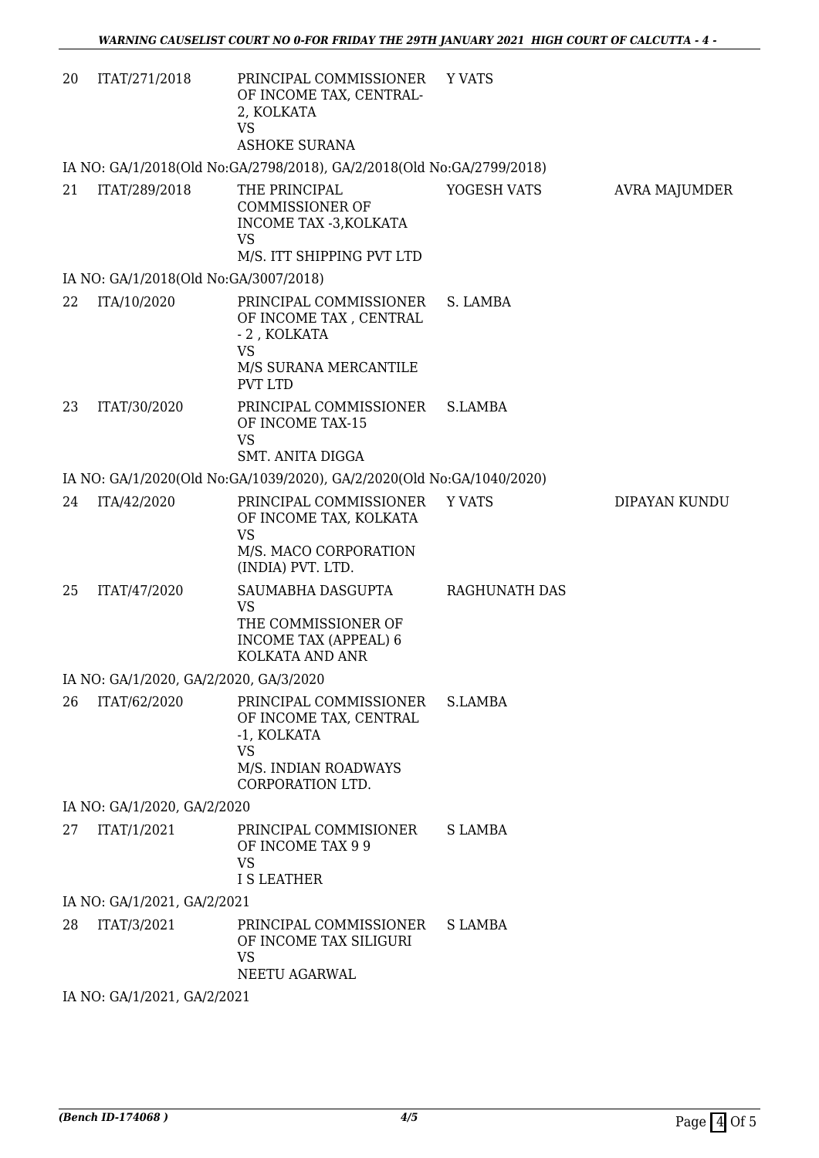| 20 | ITAT/271/2018                          | PRINCIPAL COMMISSIONER<br>OF INCOME TAX, CENTRAL-<br>2, KOLKATA<br><b>VS</b><br><b>ASHOKE SURANA</b>                     | <b>Y VATS</b> |               |
|----|----------------------------------------|--------------------------------------------------------------------------------------------------------------------------|---------------|---------------|
|    |                                        | IA NO: GA/1/2018(Old No:GA/2798/2018), GA/2/2018(Old No:GA/2799/2018)                                                    |               |               |
| 21 | ITAT/289/2018                          | THE PRINCIPAL<br><b>COMMISSIONER OF</b><br>INCOME TAX -3, KOLKATA<br><b>VS</b><br>M/S. ITT SHIPPING PVT LTD              | YOGESH VATS   | AVRA MAJUMDER |
|    | IA NO: GA/1/2018(Old No:GA/3007/2018)  |                                                                                                                          |               |               |
| 22 | ITA/10/2020                            | PRINCIPAL COMMISSIONER<br>OF INCOME TAX, CENTRAL<br>- 2, KOLKATA<br><b>VS</b><br>M/S SURANA MERCANTILE<br><b>PVT LTD</b> | S. LAMBA      |               |
| 23 | ITAT/30/2020                           | PRINCIPAL COMMISSIONER<br>OF INCOME TAX-15<br><b>VS</b>                                                                  | S.LAMBA       |               |
|    |                                        | <b>SMT. ANITA DIGGA</b>                                                                                                  |               |               |
|    |                                        | IA NO: GA/1/2020(Old No:GA/1039/2020), GA/2/2020(Old No:GA/1040/2020)                                                    |               |               |
| 24 | ITA/42/2020                            | PRINCIPAL COMMISSIONER<br>OF INCOME TAX, KOLKATA<br><b>VS</b><br>M/S. MACO CORPORATION<br>(INDIA) PVT. LTD.              | Y VATS        | DIPAYAN KUNDU |
| 25 | ITAT/47/2020                           | SAUMABHA DASGUPTA<br><b>VS</b><br>THE COMMISSIONER OF<br><b>INCOME TAX (APPEAL) 6</b><br>KOLKATA AND ANR                 | RAGHUNATH DAS |               |
|    | IA NO: GA/1/2020, GA/2/2020, GA/3/2020 |                                                                                                                          |               |               |
| 26 | ITAT/62/2020                           | PRINCIPAL COMMISSIONER<br>OF INCOME TAX, CENTRAL<br>-1, KOLKATA<br><b>VS</b><br>M/S. INDIAN ROADWAYS<br>CORPORATION LTD. | S.LAMBA       |               |
|    | IA NO: GA/1/2020, GA/2/2020            |                                                                                                                          |               |               |
| 27 | ITAT/1/2021                            | PRINCIPAL COMMISIONER<br>OF INCOME TAX 9 9<br><b>VS</b><br><b>I S LEATHER</b>                                            | S LAMBA       |               |
|    | IA NO: GA/1/2021, GA/2/2021            |                                                                                                                          |               |               |
| 28 | ITAT/3/2021                            | PRINCIPAL COMMISSIONER<br>OF INCOME TAX SILIGURI<br><b>VS</b><br>NEETU AGARWAL                                           | S LAMBA       |               |
|    | IA NO: GA/1/2021, GA/2/2021            |                                                                                                                          |               |               |